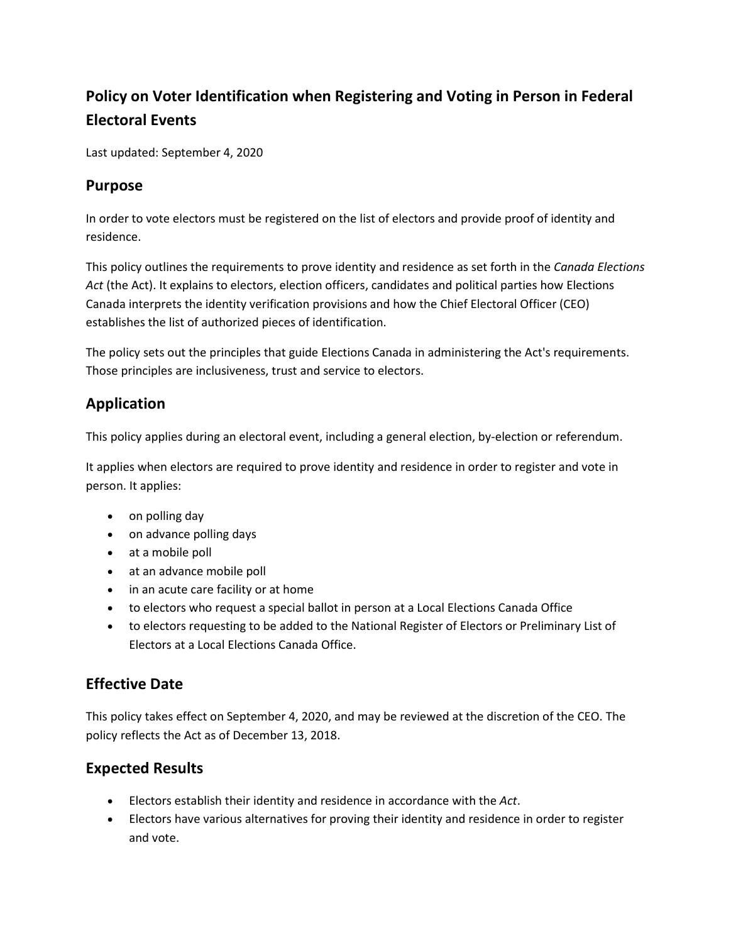# **Policy on Voter Identification when Registering and Voting in Person in Federal Electoral Events**

Last updated: September 4, 2020

### **Purpose**

In order to vote electors must be registered on the list of electors and provide proof of identity and residence.

This policy outlines the requirements to prove identity and residence as set forth in the *Canada Elections Act* (the Act). It explains to electors, election officers, candidates and political parties how Elections Canada interprets the identity verification provisions and how the Chief Electoral Officer (CEO) establishes the list of authorized pieces of identification.

The policy sets out the principles that guide Elections Canada in administering the Act's requirements. Those principles are inclusiveness, trust and service to electors.

# **Application**

This policy applies during an electoral event, including a general election, by-election or referendum.

It applies when electors are required to prove identity and residence in order to register and vote in person. It applies:

- on polling day
- on advance polling days
- at a mobile poll
- at an advance mobile poll
- in an acute care facility or at home
- to electors who request a special ballot in person at a Local Elections Canada Office
- to electors requesting to be added to the National Register of Electors or Preliminary List of Electors at a Local Elections Canada Office.

# **Effective Date**

This policy takes effect on September 4, 2020, and may be reviewed at the discretion of the CEO. The policy reflects the Act as of December 13, 2018.

# **Expected Results**

- Electors establish their identity and residence in accordance with the *Act*.
- Electors have various alternatives for proving their identity and residence in order to register and vote.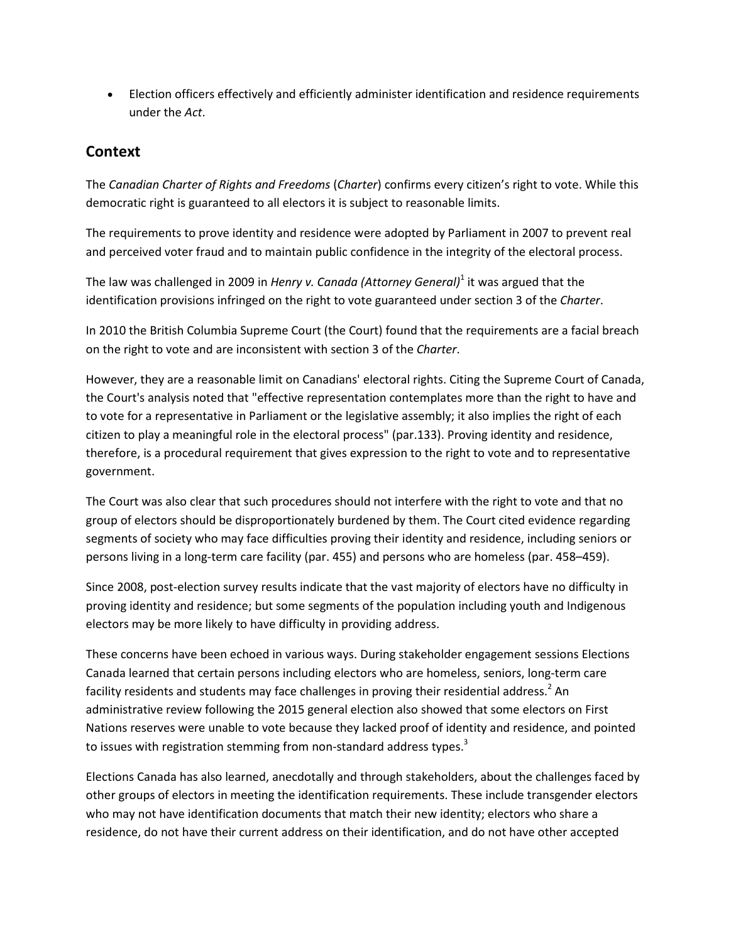• Election officers effectively and efficiently administer identification and residence requirements under the *Act*.

## **Context**

The *Canadian Charter of Rights and Freedoms* (*Charter*) confirms every citizen's right to vote. While this democratic right is guaranteed to all electors it is subject to reasonable limits.

The requirements to prove identity and residence were adopted by Parliament in 2007 to prevent real and perceived voter fraud and to maintain public confidence in the integrity of the electoral process.

The law was challenged in 2009 in *Henry v. Canada (Attorney General)*<sup>1</sup> it was argued that the identification provisions infringed on the right to vote guaranteed under section 3 of the *Charter*.

In 2010 the British Columbia Supreme Court (the Court) found that the requirements are a facial breach on the right to vote and are inconsistent with section 3 of the *Charter*.

However, they are a reasonable limit on Canadians' electoral rights. Citing the Supreme Court of Canada, the Court's analysis noted that "effective representation contemplates more than the right to have and to vote for a representative in Parliament or the legislative assembly; it also implies the right of each citizen to play a meaningful role in the electoral process" (par.133). Proving identity and residence, therefore, is a procedural requirement that gives expression to the right to vote and to representative government.

The Court was also clear that such procedures should not interfere with the right to vote and that no group of electors should be disproportionately burdened by them. The Court cited evidence regarding segments of society who may face difficulties proving their identity and residence, including seniors or persons living in a long-term care facility (par. 455) and persons who are homeless (par. 458–459).

Since 2008, post-election survey results indicate that the vast majority of electors have no difficulty in proving identity and residence; but some segments of the population including youth and Indigenous electors may be more likely to have difficulty in providing address.

These concerns have been echoed in various ways. During stakeholder engagement sessions Elections Canada learned that certain persons including electors who are homeless, seniors, long-term care facility residents and students may face challenges in proving their residential address.<sup>2</sup> An administrative review following the 2015 general election also showed that some electors on First Nations reserves were unable to vote because they lacked proof of identity and residence, and pointed to issues with registration stemming from non-standard address types.<sup>3</sup>

Elections Canada has also learned, anecdotally and through stakeholders, about the challenges faced by other groups of electors in meeting the identification requirements. These include transgender electors who may not have identification documents that match their new identity; electors who share a residence, do not have their current address on their identification, and do not have other accepted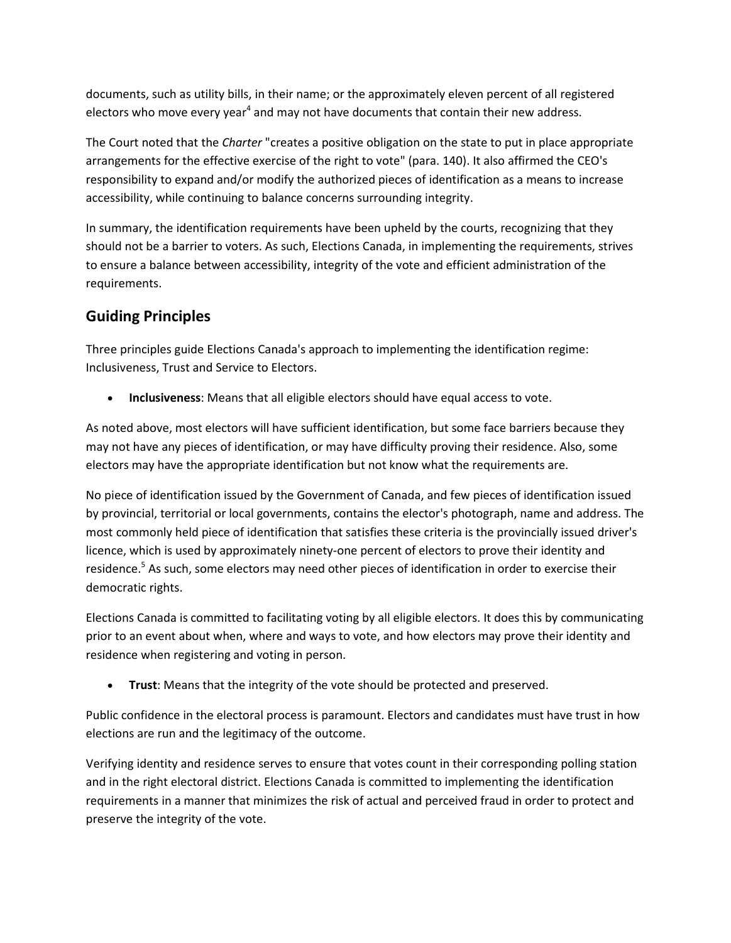documents, such as utility bills, in their name; or the approximately eleven percent of all registered electors who move every year<sup>4</sup> and may not have documents that contain their new address.

The Court noted that the *Charter* "creates a positive obligation on the state to put in place appropriate arrangements for the effective exercise of the right to vote" (para. 140). It also affirmed the CEO's responsibility to expand and/or modify the authorized pieces of identification as a means to increase accessibility, while continuing to balance concerns surrounding integrity.

In summary, the identification requirements have been upheld by the courts, recognizing that they should not be a barrier to voters. As such, Elections Canada, in implementing the requirements, strives to ensure a balance between accessibility, integrity of the vote and efficient administration of the requirements.

# **Guiding Principles**

Three principles guide Elections Canada's approach to implementing the identification regime: Inclusiveness, Trust and Service to Electors.

• **Inclusiveness**: Means that all eligible electors should have equal access to vote.

As noted above, most electors will have sufficient identification, but some face barriers because they may not have any pieces of identification, or may have difficulty proving their residence. Also, some electors may have the appropriate identification but not know what the requirements are.

No piece of identification issued by the Government of Canada, and few pieces of identification issued by provincial, territorial or local governments, contains the elector's photograph, name and address. The most commonly held piece of identification that satisfies these criteria is the provincially issued driver's licence, which is used by approximately ninety-one percent of electors to prove their identity and residence.<sup>5</sup> As such, some electors may need other pieces of identification in order to exercise their democratic rights.

Elections Canada is committed to facilitating voting by all eligible electors. It does this by communicating prior to an event about when, where and ways to vote, and how electors may prove their identity and residence when registering and voting in person.

• **Trust**: Means that the integrity of the vote should be protected and preserved.

Public confidence in the electoral process is paramount. Electors and candidates must have trust in how elections are run and the legitimacy of the outcome.

Verifying identity and residence serves to ensure that votes count in their corresponding polling station and in the right electoral district. Elections Canada is committed to implementing the identification requirements in a manner that minimizes the risk of actual and perceived fraud in order to protect and preserve the integrity of the vote.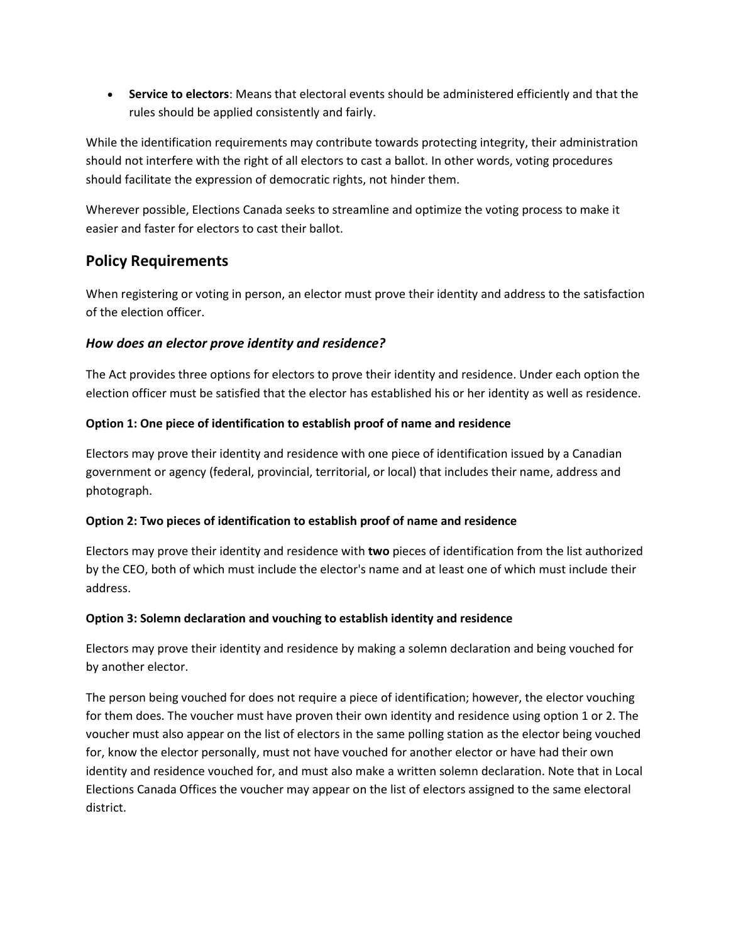• **Service to electors**: Means that electoral events should be administered efficiently and that the rules should be applied consistently and fairly.

While the identification requirements may contribute towards protecting integrity, their administration should not interfere with the right of all electors to cast a ballot. In other words, voting procedures should facilitate the expression of democratic rights, not hinder them.

Wherever possible, Elections Canada seeks to streamline and optimize the voting process to make it easier and faster for electors to cast their ballot.

## **Policy Requirements**

When registering or voting in person, an elector must prove their identity and address to the satisfaction of the election officer.

### *How does an elector prove identity and residence?*

The Act provides three options for electors to prove their identity and residence. Under each option the election officer must be satisfied that the elector has established his or her identity as well as residence.

### **Option 1: One piece of identification to establish proof of name and residence**

Electors may prove their identity and residence with one piece of identification issued by a Canadian government or agency (federal, provincial, territorial, or local) that includes their name, address and photograph.

### **Option 2: Two pieces of identification to establish proof of name and residence**

Electors may prove their identity and residence with **two** pieces of identification from the list authorized by the CEO, both of which must include the elector's name and at least one of which must include their address.

#### **Option 3: Solemn declaration and vouching to establish identity and residence**

Electors may prove their identity and residence by making a solemn declaration and being vouched for by another elector.

The person being vouched for does not require a piece of identification; however, the elector vouching for them does. The voucher must have proven their own identity and residence using option 1 or 2. The voucher must also appear on the list of electors in the same polling station as the elector being vouched for, know the elector personally, must not have vouched for another elector or have had their own identity and residence vouched for, and must also make a written solemn declaration. Note that in Local Elections Canada Offices the voucher may appear on the list of electors assigned to the same electoral district.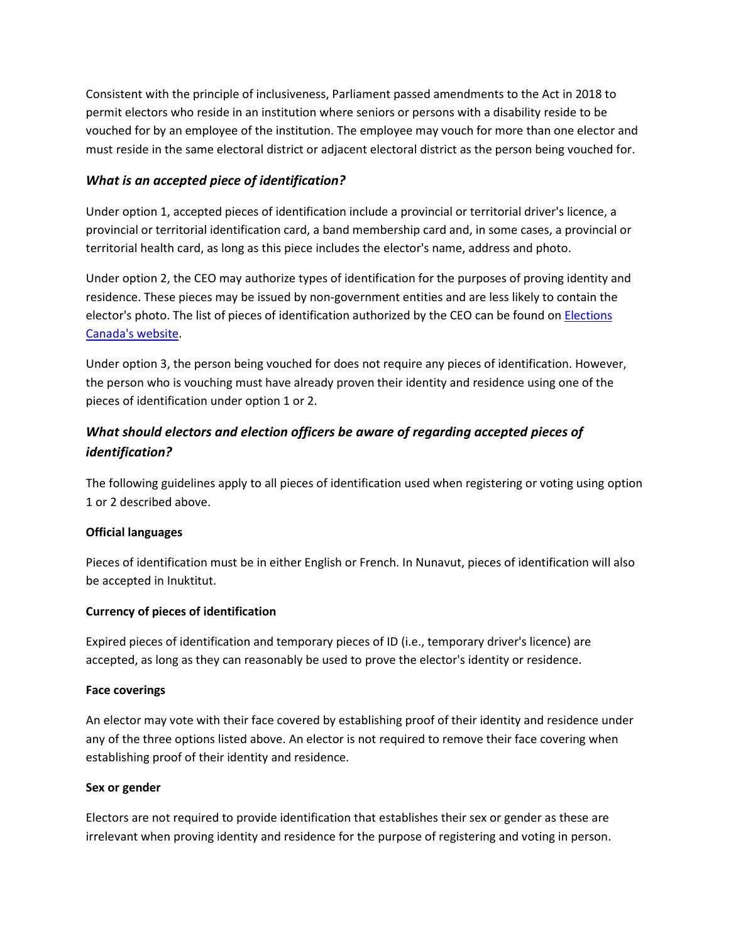Consistent with the principle of inclusiveness, Parliament passed amendments to the Act in 2018 to permit electors who reside in an institution where seniors or persons with a disability reside to be vouched for by an employee of the institution. The employee may vouch for more than one elector and must reside in the same electoral district or adjacent electoral district as the person being vouched for.

#### *What is an accepted piece of identification?*

Under option 1, accepted pieces of identification include a provincial or territorial driver's licence, a provincial or territorial identification card, a band membership card and, in some cases, a provincial or territorial health card, as long as this piece includes the elector's name, address and photo.

Under option 2, the CEO may authorize types of identification for the purposes of proving identity and residence. These pieces may be issued by non-government entities and are less likely to contain the elector's photo. The list of pieces of identification authorized by the CEO can be found o[n Elections](https://www.elections.ca/content.aspx?section=vot&dir=ids&document=index&lang=e)  [Canada's website.](https://www.elections.ca/content.aspx?section=vot&dir=ids&document=index&lang=e)

Under option 3, the person being vouched for does not require any pieces of identification. However, the person who is vouching must have already proven their identity and residence using one of the pieces of identification under option 1 or 2.

# *What should electors and election officers be aware of regarding accepted pieces of identification?*

The following guidelines apply to all pieces of identification used when registering or voting using option 1 or 2 described above.

#### **Official languages**

Pieces of identification must be in either English or French. In Nunavut, pieces of identification will also be accepted in Inuktitut.

#### **Currency of pieces of identification**

Expired pieces of identification and temporary pieces of ID (i.e., temporary driver's licence) are accepted, as long as they can reasonably be used to prove the elector's identity or residence.

#### **Face coverings**

An elector may vote with their face covered by establishing proof of their identity and residence under any of the three options listed above. An elector is not required to remove their face covering when establishing proof of their identity and residence.

#### **Sex or gender**

Electors are not required to provide identification that establishes their sex or gender as these are irrelevant when proving identity and residence for the purpose of registering and voting in person.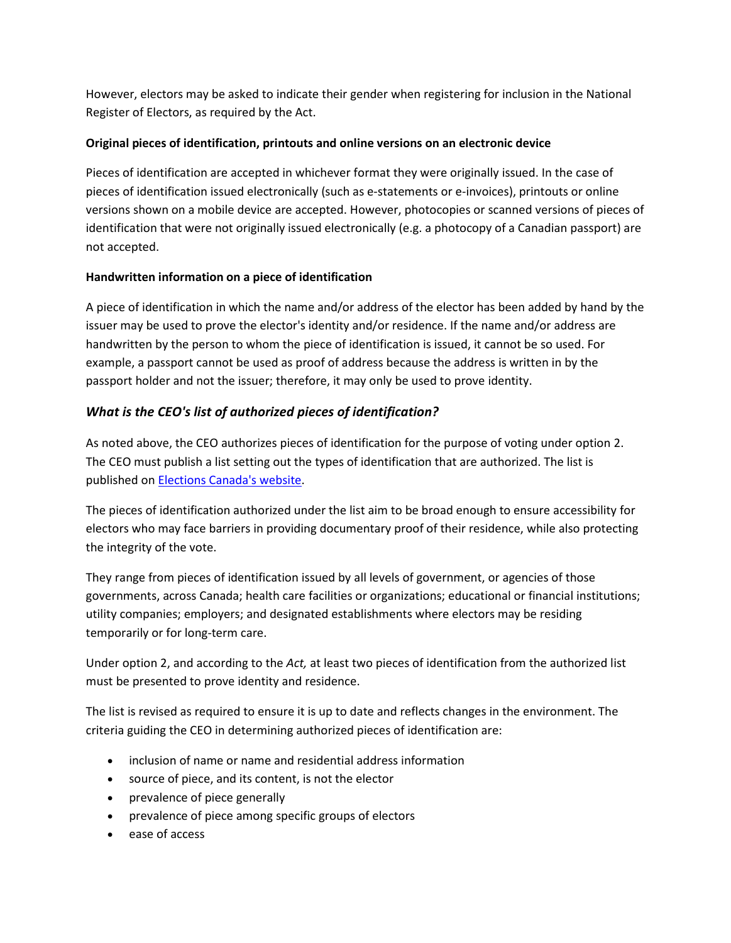However, electors may be asked to indicate their gender when registering for inclusion in the National Register of Electors, as required by the Act.

### **Original pieces of identification, printouts and online versions on an electronic device**

Pieces of identification are accepted in whichever format they were originally issued. In the case of pieces of identification issued electronically (such as e-statements or e-invoices), printouts or online versions shown on a mobile device are accepted. However, photocopies or scanned versions of pieces of identification that were not originally issued electronically (e.g. a photocopy of a Canadian passport) are not accepted.

### **Handwritten information on a piece of identification**

A piece of identification in which the name and/or address of the elector has been added by hand by the issuer may be used to prove the elector's identity and/or residence. If the name and/or address are handwritten by the person to whom the piece of identification is issued, it cannot be so used. For example, a passport cannot be used as proof of address because the address is written in by the passport holder and not the issuer; therefore, it may only be used to prove identity.

### *What is the CEO's list of authorized pieces of identification?*

As noted above, the CEO authorizes pieces of identification for the purpose of voting under option 2. The CEO must publish a list setting out the types of identification that are authorized. The list is published on [Elections Canada's website.](https://www.elections.ca/content.aspx?section=vot&dir=ids&document=index&lang=e)

The pieces of identification authorized under the list aim to be broad enough to ensure accessibility for electors who may face barriers in providing documentary proof of their residence, while also protecting the integrity of the vote.

They range from pieces of identification issued by all levels of government, or agencies of those governments, across Canada; health care facilities or organizations; educational or financial institutions; utility companies; employers; and designated establishments where electors may be residing temporarily or for long-term care.

Under option 2, and according to the *Act,* at least two pieces of identification from the authorized list must be presented to prove identity and residence.

The list is revised as required to ensure it is up to date and reflects changes in the environment. The criteria guiding the CEO in determining authorized pieces of identification are:

- inclusion of name or name and residential address information
- source of piece, and its content, is not the elector
- prevalence of piece generally
- prevalence of piece among specific groups of electors
- ease of access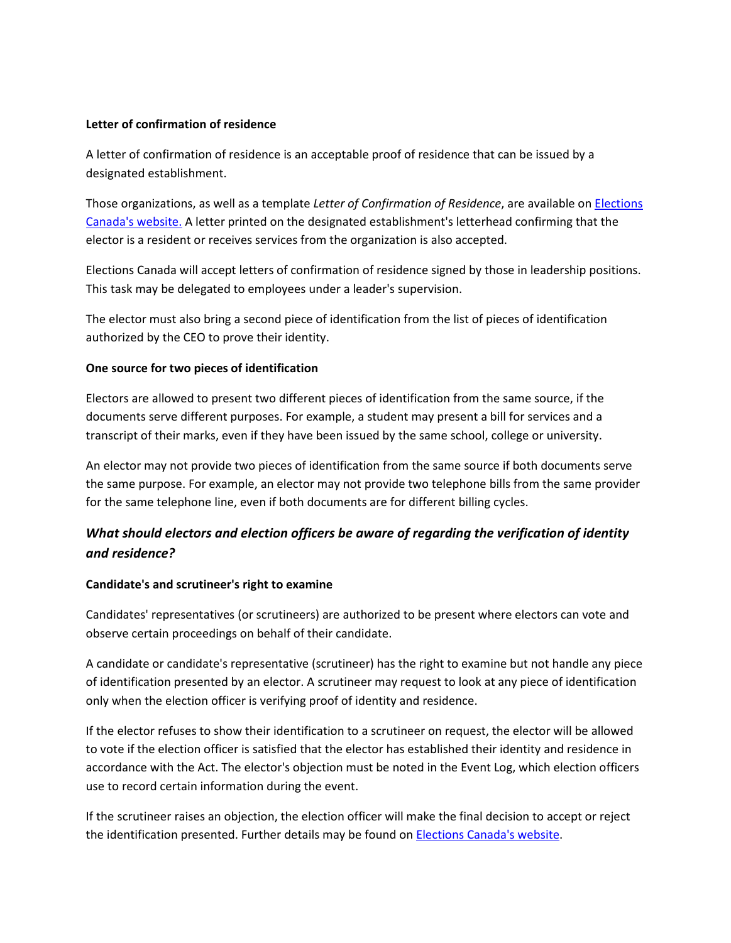#### **Letter of confirmation of residence**

A letter of confirmation of residence is an acceptable proof of residence that can be issued by a designated establishment.

Those organizations, as well as a template *Letter of Confirmation of Residence*, are available on [Elections](http://www.elections.ca/vot/ids/EC50053_e.pdf)  [Canada's website.](http://www.elections.ca/vot/ids/EC50053_e.pdf) A letter printed on the designated establishment's letterhead confirming that the elector is a resident or receives services from the organization is also accepted.

Elections Canada will accept letters of confirmation of residence signed by those in leadership positions. This task may be delegated to employees under a leader's supervision.

The elector must also bring a second piece of identification from the list of pieces of identification authorized by the CEO to prove their identity.

#### **One source for two pieces of identification**

Electors are allowed to present two different pieces of identification from the same source, if the documents serve different purposes. For example, a student may present a bill for services and a transcript of their marks, even if they have been issued by the same school, college or university.

An elector may not provide two pieces of identification from the same source if both documents serve the same purpose. For example, an elector may not provide two telephone bills from the same provider for the same telephone line, even if both documents are for different billing cycles.

# *What should electors and election officers be aware of regarding the verification of identity and residence?*

#### **Candidate's and scrutineer's right to examine**

Candidates' representatives (or scrutineers) are authorized to be present where electors can vote and observe certain proceedings on behalf of their candidate.

A candidate or candidate's representative (scrutineer) has the right to examine but not handle any piece of identification presented by an elector. A scrutineer may request to look at any piece of identification only when the election officer is verifying proof of identity and residence.

If the elector refuses to show their identification to a scrutineer on request, the elector will be allowed to vote if the election officer is satisfied that the elector has established their identity and residence in accordance with the Act. The elector's objection must be noted in the Event Log, which election officers use to record certain information during the event.

If the scrutineer raises an objection, the election officer will make the final decision to accept or reject the identification presented. Further details may be found o[n Elections Canada's website.](https://www.elections.ca/content.aspx?section=pol&document=index&dir=can/gui&lang=e)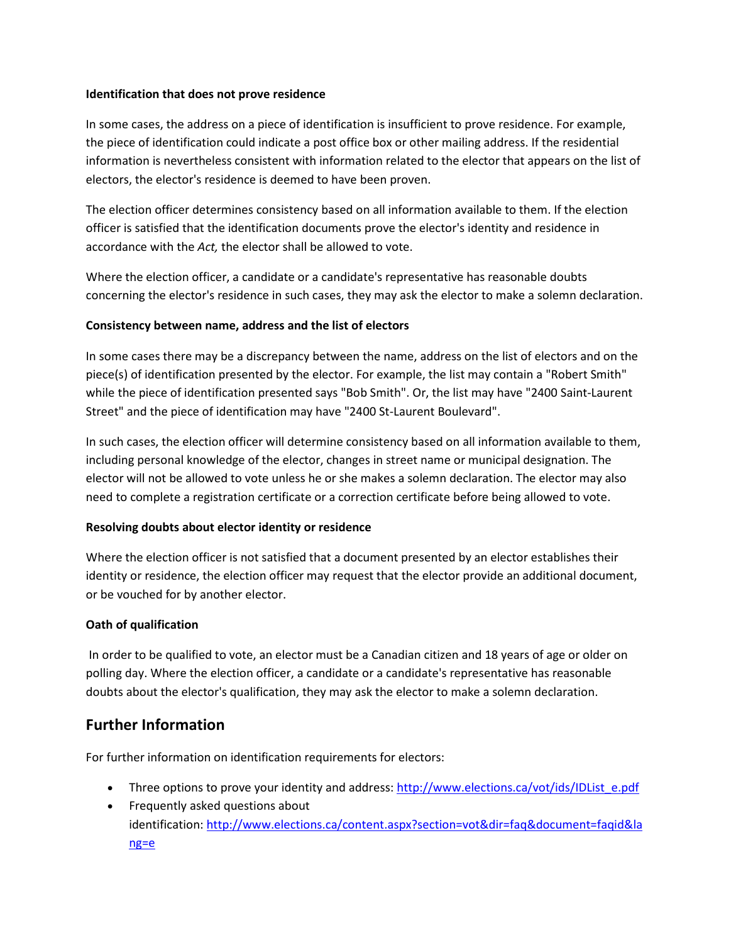#### **Identification that does not prove residence**

In some cases, the address on a piece of identification is insufficient to prove residence. For example, the piece of identification could indicate a post office box or other mailing address. If the residential information is nevertheless consistent with information related to the elector that appears on the list of electors, the elector's residence is deemed to have been proven.

The election officer determines consistency based on all information available to them. If the election officer is satisfied that the identification documents prove the elector's identity and residence in accordance with the *Act,* the elector shall be allowed to vote.

Where the election officer, a candidate or a candidate's representative has reasonable doubts concerning the elector's residence in such cases, they may ask the elector to make a solemn declaration.

#### **Consistency between name, address and the list of electors**

In some cases there may be a discrepancy between the name, address on the list of electors and on the piece(s) of identification presented by the elector. For example, the list may contain a "Robert Smith" while the piece of identification presented says "Bob Smith". Or, the list may have "2400 Saint-Laurent Street" and the piece of identification may have "2400 St-Laurent Boulevard".

In such cases, the election officer will determine consistency based on all information available to them, including personal knowledge of the elector, changes in street name or municipal designation. The elector will not be allowed to vote unless he or she makes a solemn declaration. The elector may also need to complete a registration certificate or a correction certificate before being allowed to vote.

#### **Resolving doubts about elector identity or residence**

Where the election officer is not satisfied that a document presented by an elector establishes their identity or residence, the election officer may request that the elector provide an additional document, or be vouched for by another elector.

#### **Oath of qualification**

 In order to be qualified to vote, an elector must be a Canadian citizen and 18 years of age or older on polling day. Where the election officer, a candidate or a candidate's representative has reasonable doubts about the elector's qualification, they may ask the elector to make a solemn declaration.

### **Further Information**

For further information on identification requirements for electors:

- Three options to prove your identity and address: [http://www.elections.ca/vot/ids/IDList\\_e.pdf](http://www.elections.ca/vot/ids/IDList_e.pdf)
- Frequently asked questions about identification: [http://www.elections.ca/content.aspx?section=vot&dir=faq&document=faqid&la](https://www.elections.ca/content.aspx?section=vot&dir=faq&document=faqid&lang=e) [ng=e](https://www.elections.ca/content.aspx?section=vot&dir=faq&document=faqid&lang=e)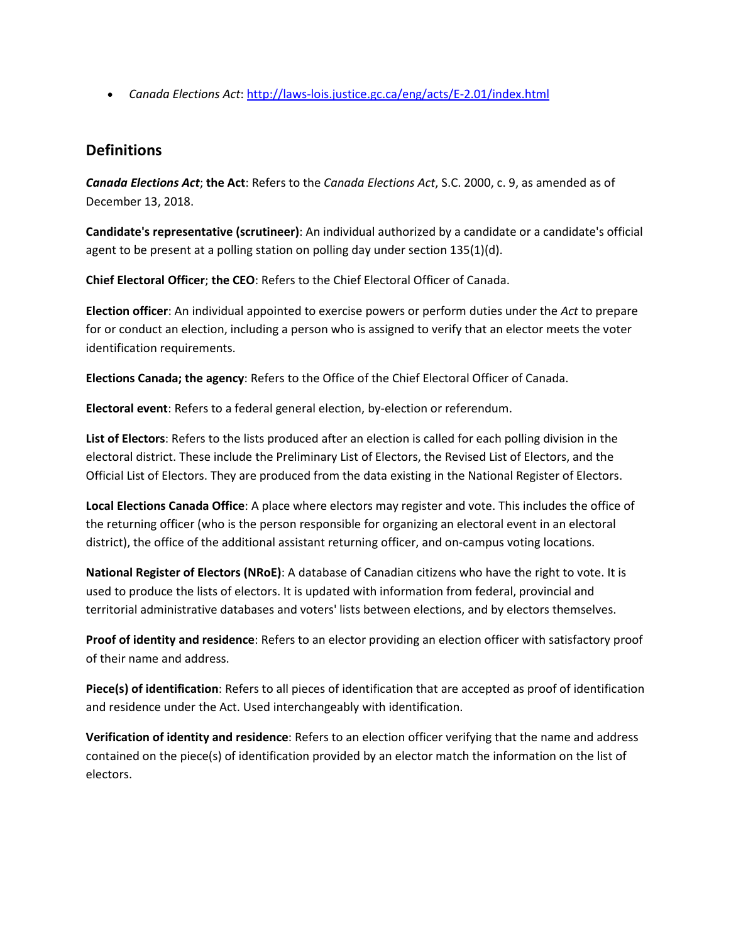• *Canada Elections Act*[: http://laws-lois.justice.gc.ca/eng/acts/E-2.01/index.html](http://laws-lois.justice.gc.ca/eng/acts/E-2.01/index.html)

### **Definitions**

*Canada Elections Act*; **the Act**: Refers to the *Canada Elections Act*, S.C. 2000, c. 9, as amended as of December 13, 2018.

**Candidate's representative (scrutineer)**: An individual authorized by a candidate or a candidate's official agent to be present at a polling station on polling day under section 135(1)(d).

**Chief Electoral Officer**; **the CEO**: Refers to the Chief Electoral Officer of Canada.

**Election officer**: An individual appointed to exercise powers or perform duties under the *Act* to prepare for or conduct an election, including a person who is assigned to verify that an elector meets the voter identification requirements.

**Elections Canada; the agency**: Refers to the Office of the Chief Electoral Officer of Canada.

**Electoral event**: Refers to a federal general election, by-election or referendum.

**List of Electors**: Refers to the lists produced after an election is called for each polling division in the electoral district. These include the Preliminary List of Electors, the Revised List of Electors, and the Official List of Electors. They are produced from the data existing in the National Register of Electors.

**Local Elections Canada Office**: A place where electors may register and vote. This includes the office of the returning officer (who is the person responsible for organizing an electoral event in an electoral district), the office of the additional assistant returning officer, and on-campus voting locations.

**National Register of Electors (NRoE)**: A database of Canadian citizens who have the right to vote. It is used to produce the lists of electors. It is updated with information from federal, provincial and territorial administrative databases and voters' lists between elections, and by electors themselves.

**Proof of identity and residence**: Refers to an elector providing an election officer with satisfactory proof of their name and address.

**Piece(s) of identification**: Refers to all pieces of identification that are accepted as proof of identification and residence under the Act. Used interchangeably with identification.

**Verification of identity and residence**: Refers to an election officer verifying that the name and address contained on the piece(s) of identification provided by an elector match the information on the list of electors.